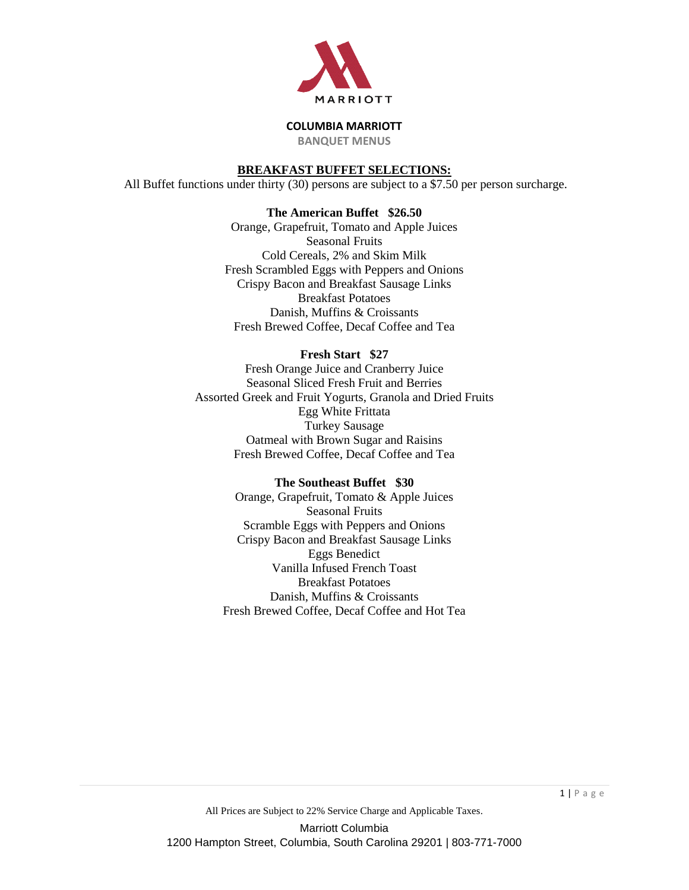

**BANQUET MENUS**

## **BREAKFAST BUFFET SELECTIONS:**

All Buffet functions under thirty (30) persons are subject to a \$7.50 per person surcharge.

## **The American Buffet \$26.50**

Orange, Grapefruit, Tomato and Apple Juices Seasonal Fruits Cold Cereals, 2% and Skim Milk Fresh Scrambled Eggs with Peppers and Onions Crispy Bacon and Breakfast Sausage Links Breakfast Potatoes Danish, Muffins & Croissants Fresh Brewed Coffee, Decaf Coffee and Tea

# **Fresh Start \$27**

Fresh Orange Juice and Cranberry Juice Seasonal Sliced Fresh Fruit and Berries Assorted Greek and Fruit Yogurts, Granola and Dried Fruits Egg White Frittata Turkey Sausage Oatmeal with Brown Sugar and Raisins Fresh Brewed Coffee, Decaf Coffee and Tea

## **The Southeast Buffet \$30**

Orange, Grapefruit, Tomato & Apple Juices Seasonal Fruits Scramble Eggs with Peppers and Onions Crispy Bacon and Breakfast Sausage Links Eggs Benedict Vanilla Infused French Toast Breakfast Potatoes Danish, Muffins & Croissants Fresh Brewed Coffee, Decaf Coffee and Hot Tea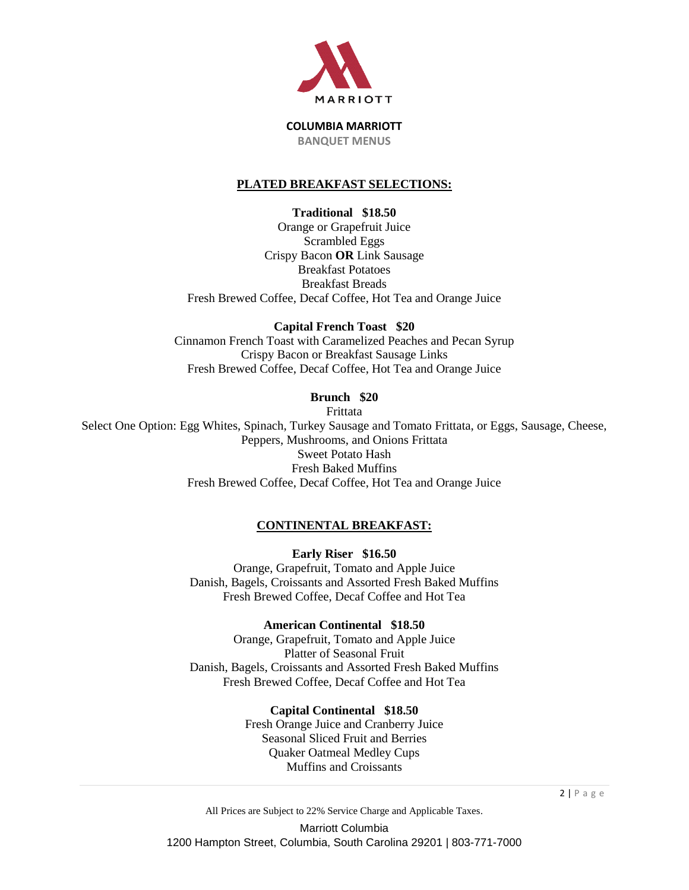

## **PLATED BREAKFAST SELECTIONS:**

**Traditional \$18.50**

Orange or Grapefruit Juice Scrambled Eggs Crispy Bacon **OR** Link Sausage Breakfast Potatoes Breakfast Breads Fresh Brewed Coffee, Decaf Coffee, Hot Tea and Orange Juice

**Capital French Toast \$20**

Cinnamon French Toast with Caramelized Peaches and Pecan Syrup Crispy Bacon or Breakfast Sausage Links Fresh Brewed Coffee, Decaf Coffee, Hot Tea and Orange Juice

**Brunch \$20**

Frittata Select One Option: Egg Whites, Spinach, Turkey Sausage and Tomato Frittata, or Eggs, Sausage, Cheese, Peppers, Mushrooms, and Onions Frittata Sweet Potato Hash Fresh Baked Muffins Fresh Brewed Coffee, Decaf Coffee, Hot Tea and Orange Juice

# **CONTINENTAL BREAKFAST:**

**Early Riser \$16.50** Orange, Grapefruit, Tomato and Apple Juice Danish, Bagels, Croissants and Assorted Fresh Baked Muffins Fresh Brewed Coffee, Decaf Coffee and Hot Tea

**American Continental \$18.50** Orange, Grapefruit, Tomato and Apple Juice Platter of Seasonal Fruit Danish, Bagels, Croissants and Assorted Fresh Baked Muffins Fresh Brewed Coffee, Decaf Coffee and Hot Tea

> **Capital Continental \$18.50** Fresh Orange Juice and Cranberry Juice Seasonal Sliced Fruit and Berries Quaker Oatmeal Medley Cups Muffins and Croissants

All Prices are Subject to 22% Service Charge and Applicable Taxes. Marriott Columbia 1200 Hampton Street, Columbia, South Carolina 29201 | 803-771-7000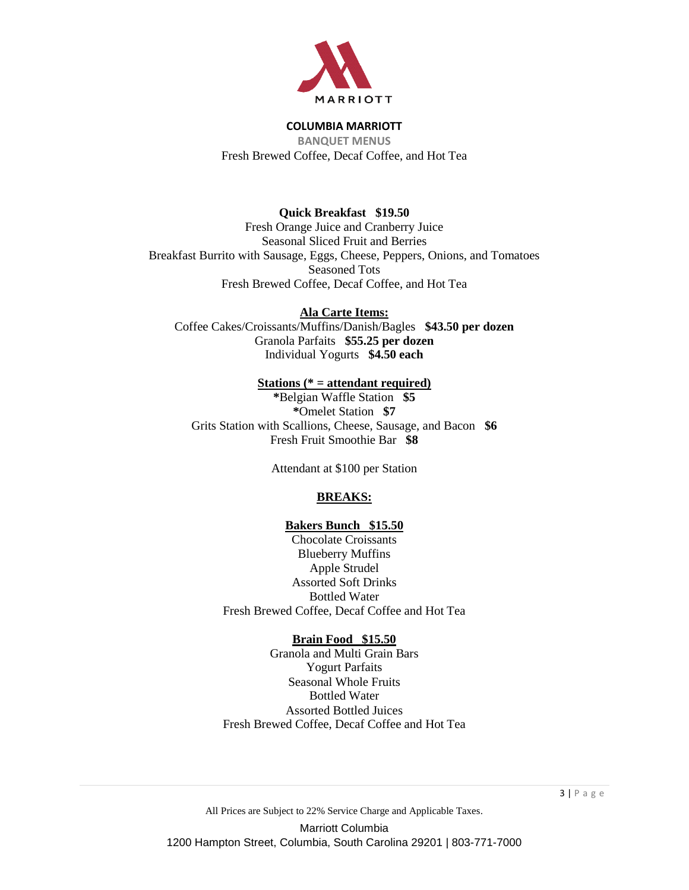

**BANQUET MENUS** Fresh Brewed Coffee, Decaf Coffee, and Hot Tea

# **Quick Breakfast \$19.50**

Fresh Orange Juice and Cranberry Juice Seasonal Sliced Fruit and Berries Breakfast Burrito with Sausage, Eggs, Cheese, Peppers, Onions, and Tomatoes Seasoned Tots Fresh Brewed Coffee, Decaf Coffee, and Hot Tea

**Ala Carte Items:** Coffee Cakes/Croissants/Muffins/Danish/Bagles **\$43.50 per dozen** Granola Parfaits **\$55.25 per dozen** Individual Yogurts **\$4.50 each**

## **Stations (\* = attendant required)**

**\***Belgian Waffle Station **\$5 \***Omelet Station **\$7** Grits Station with Scallions, Cheese, Sausage, and Bacon **\$6** Fresh Fruit Smoothie Bar **\$8**

Attendant at \$100 per Station

## **BREAKS:**

## **Bakers Bunch \$15.50**

Chocolate Croissants Blueberry Muffins Apple Strudel Assorted Soft Drinks Bottled Water Fresh Brewed Coffee, Decaf Coffee and Hot Tea

## **Brain Food \$15.50**

Granola and Multi Grain Bars Yogurt Parfaits Seasonal Whole Fruits Bottled Water Assorted Bottled Juices Fresh Brewed Coffee, Decaf Coffee and Hot Tea

All Prices are Subject to 22% Service Charge and Applicable Taxes. Marriott Columbia 1200 Hampton Street, Columbia, South Carolina 29201 | 803-771-7000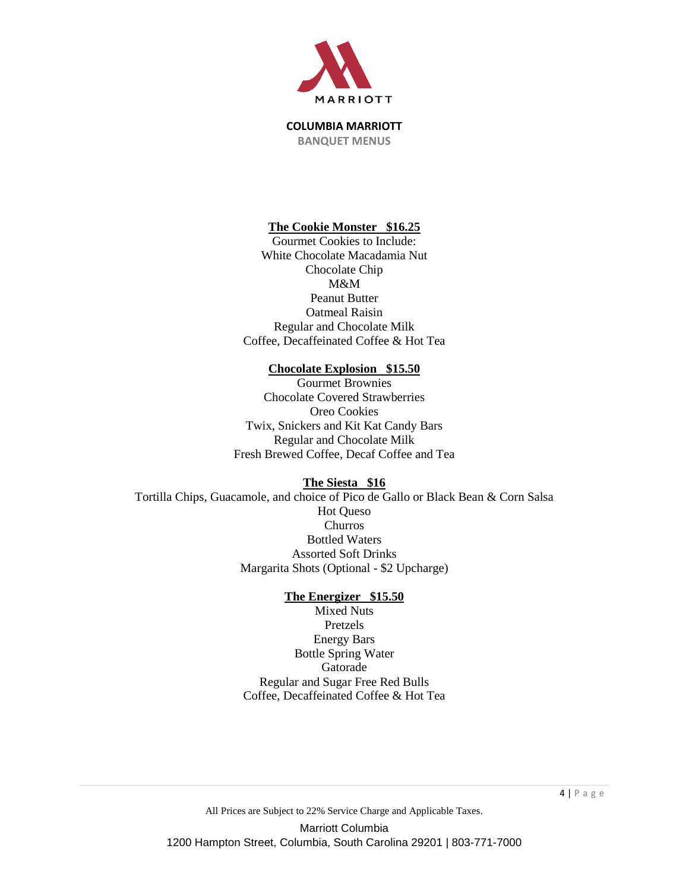

## **The Cookie Monster \$16.25**

Gourmet Cookies to Include: White Chocolate Macadamia Nut Chocolate Chip M&M Peanut Butter Oatmeal Raisin Regular and Chocolate Milk Coffee, Decaffeinated Coffee & Hot Tea

#### **Chocolate Explosion \$15.50**

Gourmet Brownies Chocolate Covered Strawberries Oreo Cookies Twix, Snickers and Kit Kat Candy Bars Regular and Chocolate Milk Fresh Brewed Coffee, Decaf Coffee and Tea

#### **The Siesta \$16**

Tortilla Chips, Guacamole, and choice of Pico de Gallo or Black Bean & Corn Salsa Hot Queso Churros Bottled Waters Assorted Soft Drinks Margarita Shots (Optional - \$2 Upcharge)

#### **The Energizer \$15.50**

Mixed Nuts Pretzels Energy Bars Bottle Spring Water Gatorade Regular and Sugar Free Red Bulls Coffee, Decaffeinated Coffee & Hot Tea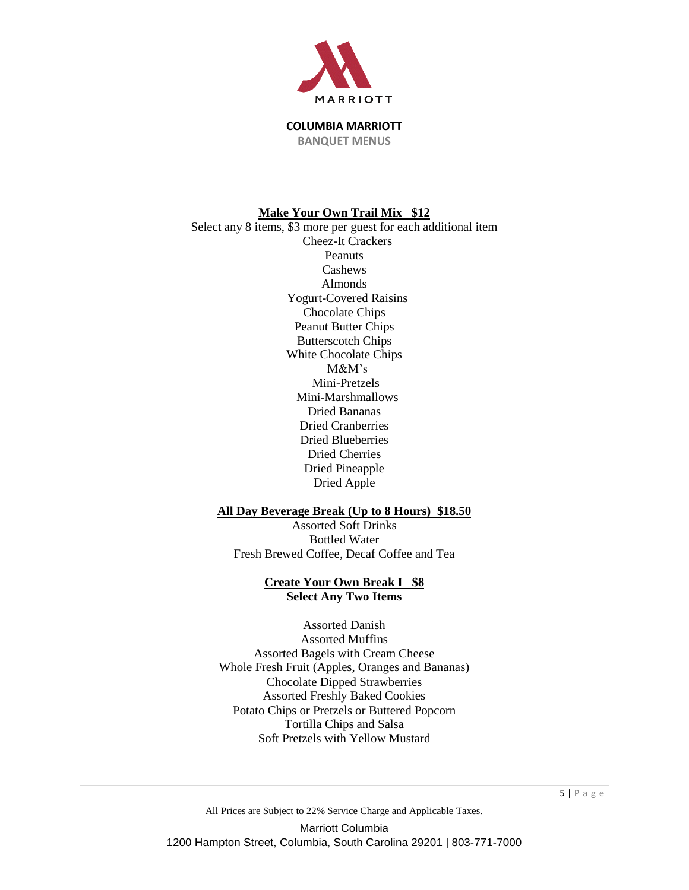

#### **Make Your Own Trail Mix \$12**

Select any 8 items, \$3 more per guest for each additional item Cheez-It Crackers Peanuts Cashews Almonds Yogurt-Covered Raisins Chocolate Chips Peanut Butter Chips Butterscotch Chips White Chocolate Chips M&M's Mini-Pretzels Mini-Marshmallows Dried Bananas Dried Cranberries Dried Blueberries Dried Cherries Dried Pineapple Dried Apple

#### **All Day Beverage Break (Up to 8 Hours) \$18.50**

Assorted Soft Drinks Bottled Water Fresh Brewed Coffee, Decaf Coffee and Tea

## **Create Your Own Break I \$8 Select Any Two Items**

Assorted Danish Assorted Muffins Assorted Bagels with Cream Cheese Whole Fresh Fruit (Apples, Oranges and Bananas) Chocolate Dipped Strawberries Assorted Freshly Baked Cookies Potato Chips or Pretzels or Buttered Popcorn Tortilla Chips and Salsa Soft Pretzels with Yellow Mustard

All Prices are Subject to 22% Service Charge and Applicable Taxes. Marriott Columbia 1200 Hampton Street, Columbia, South Carolina 29201 | 803-771-7000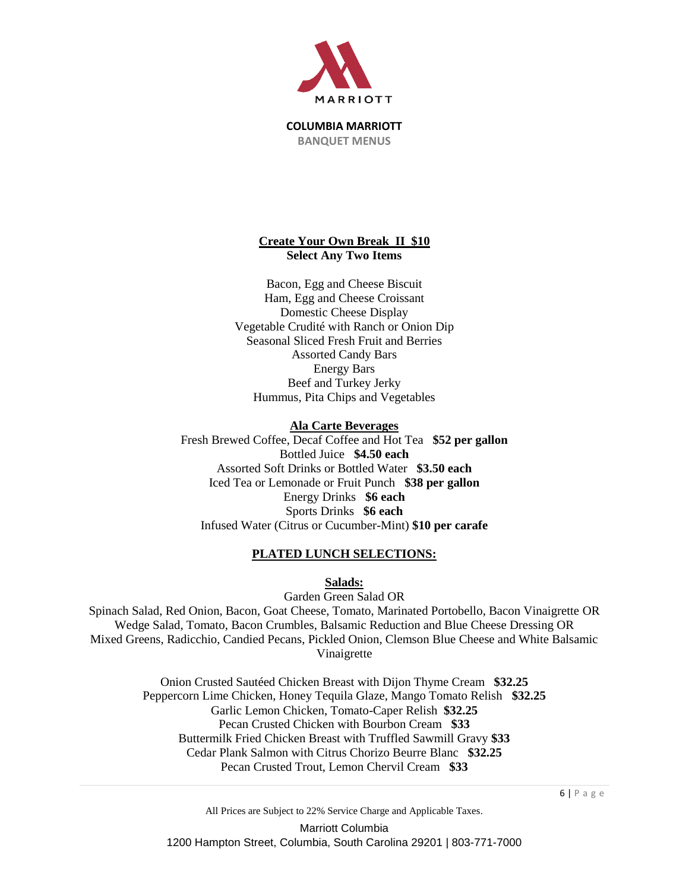

## **Create Your Own Break II \$10 Select Any Two Items**

Bacon, Egg and Cheese Biscuit Ham, Egg and Cheese Croissant Domestic Cheese Display Vegetable Crudité with Ranch or Onion Dip Seasonal Sliced Fresh Fruit and Berries Assorted Candy Bars Energy Bars Beef and Turkey Jerky Hummus, Pita Chips and Vegetables

## **Ala Carte Beverages**

Fresh Brewed Coffee, Decaf Coffee and Hot Tea **\$52 per gallon** Bottled Juice **\$4.50 each** Assorted Soft Drinks or Bottled Water **\$3.50 each** Iced Tea or Lemonade or Fruit Punch **\$38 per gallon** Energy Drinks **\$6 each** Sports Drinks **\$6 each** Infused Water (Citrus or Cucumber-Mint) **\$10 per carafe**

## **PLATED LUNCH SELECTIONS:**

**Salads:**

Garden Green Salad OR Spinach Salad, Red Onion, Bacon, Goat Cheese, Tomato, Marinated Portobello, Bacon Vinaigrette OR Wedge Salad, Tomato, Bacon Crumbles, Balsamic Reduction and Blue Cheese Dressing OR Mixed Greens, Radicchio, Candied Pecans, Pickled Onion, Clemson Blue Cheese and White Balsamic Vinaigrette

> Onion Crusted Sautéed Chicken Breast with Dijon Thyme Cream **\$32.25** Peppercorn Lime Chicken, Honey Tequila Glaze, Mango Tomato Relish **\$32.25** Garlic Lemon Chicken, Tomato-Caper Relish **\$32.25** Pecan Crusted Chicken with Bourbon Cream **\$33** Buttermilk Fried Chicken Breast with Truffled Sawmill Gravy **\$33** Cedar Plank Salmon with Citrus Chorizo Beurre Blanc **\$32.25** Pecan Crusted Trout, Lemon Chervil Cream **\$33**

All Prices are Subject to 22% Service Charge and Applicable Taxes.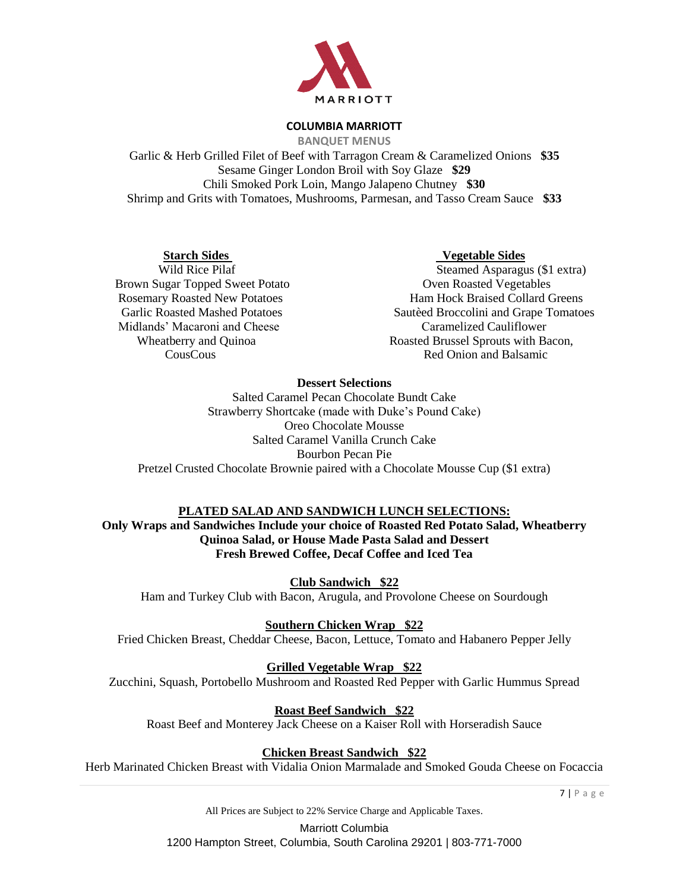

**BANQUET MENUS**

Garlic & Herb Grilled Filet of Beef with Tarragon Cream & Caramelized Onions **\$35** Sesame Ginger London Broil with Soy Glaze **\$29** Chili Smoked Pork Loin, Mango Jalapeno Chutney **\$30** Shrimp and Grits with Tomatoes, Mushrooms, Parmesan, and Tasso Cream Sauce **\$33**

Brown Sugar Topped Sweet Potato **Over Roasted Vegetables** Midlands' Macaroni and Cheese Caramelized Cauliflower

## **Starch Sides Vegetable Sides**

Wild Rice Pilaf Steamed Asparagus (\$1 extra) Rosemary Roasted New Potatoes **Ham Hock Braised Collard Greens**  Garlic Roasted Mashed Potatoes Sautèed Broccolini and Grape Tomatoes Wheatberry and Quinoa Roasted Brussel Sprouts with Bacon, CousCous Red Onion and Balsamic .

## **Dessert Selections**

Salted Caramel Pecan Chocolate Bundt Cake Strawberry Shortcake (made with Duke's Pound Cake) Oreo Chocolate Mousse Salted Caramel Vanilla Crunch Cake Bourbon Pecan Pie Pretzel Crusted Chocolate Brownie paired with a Chocolate Mousse Cup (\$1 extra)

## **PLATED SALAD AND SANDWICH LUNCH SELECTIONS:**

**Only Wraps and Sandwiches Include your choice of Roasted Red Potato Salad, Wheatberry Quinoa Salad, or House Made Pasta Salad and Dessert Fresh Brewed Coffee, Decaf Coffee and Iced Tea**

**Club Sandwich \$22**

Ham and Turkey Club with Bacon, Arugula, and Provolone Cheese on Sourdough

**Southern Chicken Wrap \$22**

Fried Chicken Breast, Cheddar Cheese, Bacon, Lettuce, Tomato and Habanero Pepper Jelly

**Grilled Vegetable Wrap \$22**

Zucchini, Squash, Portobello Mushroom and Roasted Red Pepper with Garlic Hummus Spread

**Roast Beef Sandwich \$22**

Roast Beef and Monterey Jack Cheese on a Kaiser Roll with Horseradish Sauce

# **Chicken Breast Sandwich \$22**

Herb Marinated Chicken Breast with Vidalia Onion Marmalade and Smoked Gouda Cheese on Focaccia

7 | P a g e

All Prices are Subject to 22% Service Charge and Applicable Taxes.

Marriott Columbia

1200 Hampton Street, Columbia, South Carolina 29201 | 803-771-7000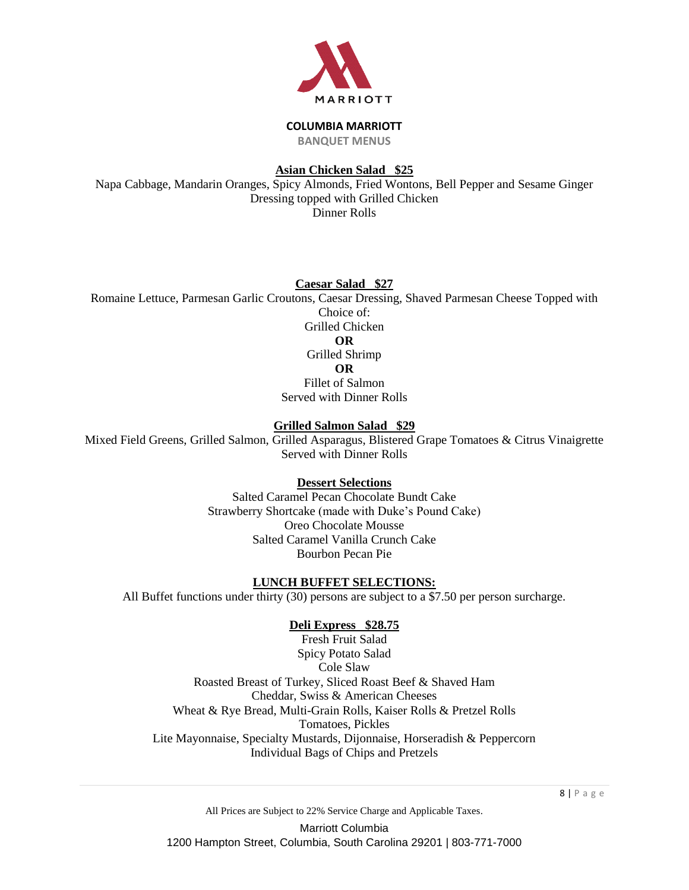

**BANQUET MENUS**

# **Asian Chicken Salad \$25**

Napa Cabbage, Mandarin Oranges, Spicy Almonds, Fried Wontons, Bell Pepper and Sesame Ginger Dressing topped with Grilled Chicken Dinner Rolls

## **Caesar Salad \$27**

Romaine Lettuce, Parmesan Garlic Croutons, Caesar Dressing, Shaved Parmesan Cheese Topped with Choice of : Grilled Chicken **OR** Grilled Shrimp **OR** Fillet of Salmon

Served with Dinner Rolls

## **Grilled Salmon Salad \$29**

Mixed Field Greens, Grilled Salmon, Grilled Asparagus, Blistered Grape Tomatoes & Citrus Vinaigrette Served with Dinner Rolls

## **Dessert Selections**

Salted Caramel Pecan Chocolate Bundt Cake Strawberry Shortcake (made with Duke's Pound Cake) Oreo Chocolate Mousse Salted Caramel Vanilla Crunch Cake Bourbon Pecan Pie

## **LUNCH BUFFET SELECTIONS:**

All Buffet functions under thirty (30) persons are subject to a \$7.50 per person surcharge.

## **Deli Express \$28.75**

Fresh Fruit Salad Spicy Potato Salad Cole Slaw Roasted Breast of Turkey, Sliced Roast Beef & Shaved Ham Cheddar, Swiss & American Cheeses Wheat & Rye Bread, Multi-Grain Rolls, Kaiser Rolls & Pretzel Rolls Tomatoes, Pickles Lite Mayonnaise, Specialty Mustards, Dijonnaise, Horseradish & Peppercorn Individual Bags of Chips and Pretzels

All Prices are Subject to 22% Service Charge and Applicable Taxes.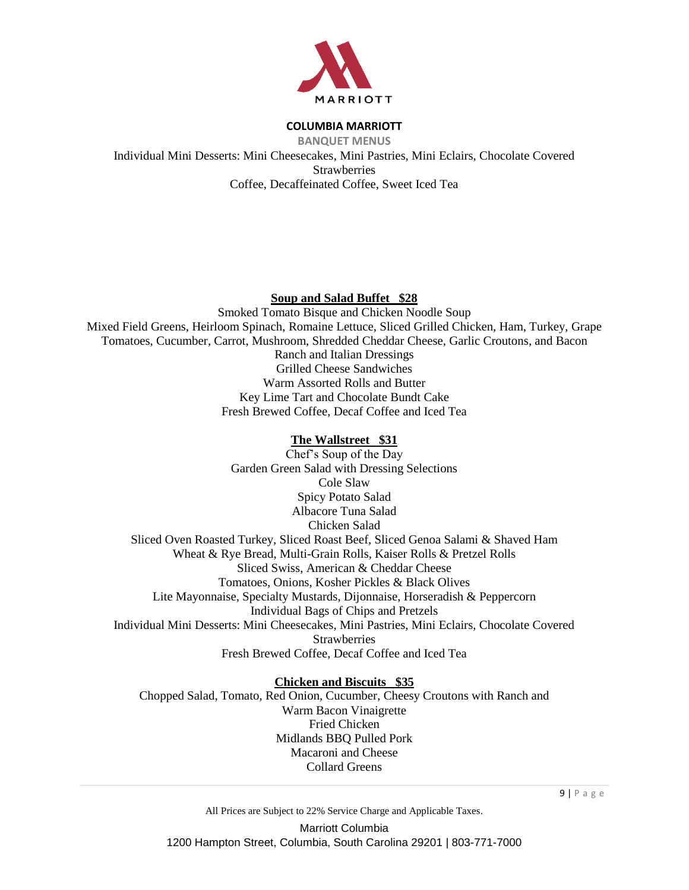

**BANQUET MENUS** Individual Mini Desserts: Mini Cheesecakes, Mini Pastries, Mini Eclairs, Chocolate Covered **Strawberries** Coffee, Decaffeinated Coffee, Sweet Iced Tea

## **Soup and Salad Buffet \$28**

Smoked Tomato Bisque and Chicken Noodle Soup Mixed Field Greens, Heirloom Spinach, Romaine Lettuce, Sliced Grilled Chicken, Ham, Turkey, Grape Tomatoes, Cucumber, Carrot, Mushroom, Shredded Cheddar Cheese, Garlic Croutons, and Bacon Ranch and Italian Dressings Grilled Cheese Sandwiches Warm Assorted Rolls and Butter Key Lime Tart and Chocolate Bundt Cake Fresh Brewed Coffee, Decaf Coffee and Iced Tea

## **The Wallstreet \$31**

Chef's Soup of the Day Garden Green Salad with Dressing Selections Cole Slaw Spicy Potato Salad Albacore Tuna Salad Chicken Salad Sliced Oven Roasted Turkey, Sliced Roast Beef, Sliced Genoa Salami & Shaved Ham Wheat & Rye Bread, Multi-Grain Rolls, Kaiser Rolls & Pretzel Rolls Sliced Swiss, American & Cheddar Cheese Tomatoes, Onions, Kosher Pickles & Black Olives Lite Mayonnaise, Specialty Mustards, Dijonnaise, Horseradish & Peppercorn Individual Bags of Chips and Pretzels Individual Mini Desserts: Mini Cheesecakes, Mini Pastries, Mini Eclairs, Chocolate Covered **Strawberries** Fresh Brewed Coffee, Decaf Coffee and Iced Tea

#### **Chicken and Biscuits \$35**

Chopped Salad, Tomato, Red Onion, Cucumber, Cheesy Croutons with Ranch and Warm Bacon Vinaigrette Fried Chicken Midlands BBQ Pulled Pork Macaroni and Cheese Collard Greens

9 | P a g e

All Prices are Subject to 22% Service Charge and Applicable Taxes.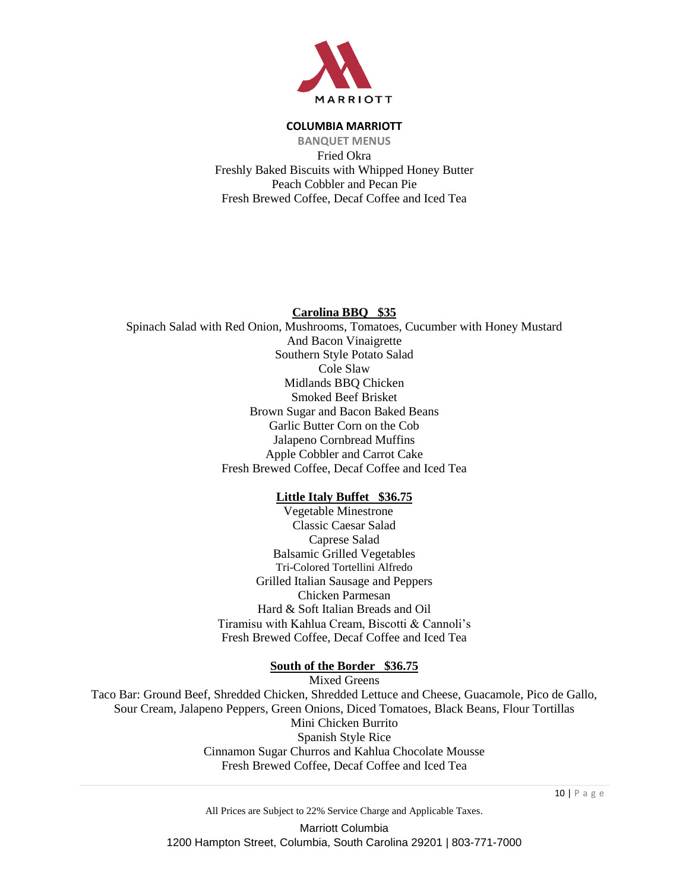

**BANQUET MENUS** Fried Okra Freshly Baked Biscuits with Whipped Honey Butter Peach Cobbler and Pecan Pie Fresh Brewed Coffee, Decaf Coffee and Iced Tea

## **Carolina BBQ \$35**

Spinach Salad with Red Onion, Mushrooms, Tomatoes, Cucumber with Honey Mustard And Bacon Vinaigrette Southern Style Potato Salad Cole Slaw Midlands BBQ Chicken Smoked Beef Brisket Brown Sugar and Bacon Baked Beans Garlic Butter Corn on the Cob Jalapeno Cornbread Muffins Apple Cobbler and Carrot Cake Fresh Brewed Coffee, Decaf Coffee and Iced Tea

## **Little Italy Buffet \$36.75**

Vegetable Minestrone Classic Caesar Salad Caprese Salad Balsamic Grilled Vegetables Tri-Colored Tortellini Alfredo Grilled Italian Sausage and Peppers Chicken Parmesan Hard & Soft Italian Breads and Oil Tiramisu with Kahlua Cream, Biscotti & Cannoli's Fresh Brewed Coffee, Decaf Coffee and Iced Tea

#### **South of the Border \$36.75**

Mixed Greens

Taco Bar: Ground Beef, Shredded Chicken, Shredded Lettuce and Cheese, Guacamole, Pico de Gallo, Sour Cream, Jalapeno Peppers, Green Onions, Diced Tomatoes, Black Beans, Flour Tortillas Mini Chicken Burrito Spanish Style Rice Cinnamon Sugar Churros and Kahlua Chocolate Mousse Fresh Brewed Coffee, Decaf Coffee and Iced Tea

10 | P a g e

All Prices are Subject to 22% Service Charge and Applicable Taxes. Marriott Columbia 1200 Hampton Street, Columbia, South Carolina 29201 | 803-771-7000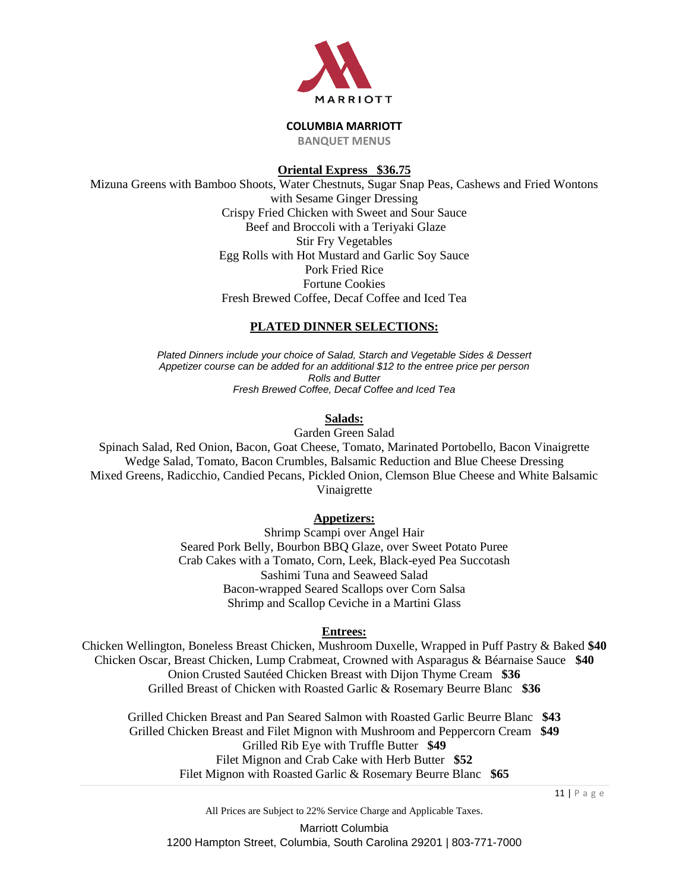

**BANQUET MENUS**

# **Oriental Express \$36.75**

Mizuna Greens with Bamboo Shoots, Water Chestnuts, Sugar Snap Peas, Cashews and Fried Wontons with Sesame Ginger Dressing Crispy Fried Chicken with Sweet and Sour Sauce Beef and Broccoli with a Teriyaki Glaze Stir Fry Vegetables Egg Rolls with Hot Mustard and Garlic Soy Sauce Pork Fried Rice Fortune Cookies Fresh Brewed Coffee, Decaf Coffee and Iced Tea

# **PLATED DINNER SELECTIONS:**

*Plated Dinners include your choice of Salad, Starch and Vegetable Sides & Dessert Appetizer course can be added for an additional \$12 to the entree price per person Rolls and Butter Fresh Brewed Coffee, Decaf Coffee and Iced Tea*

# **Salads:**

Garden Green Salad

Spinach Salad, Red Onion, Bacon, Goat Cheese, Tomato, Marinated Portobello, Bacon Vinaigrette Wedge Salad, Tomato, Bacon Crumbles, Balsamic Reduction and Blue Cheese Dressing Mixed Greens, Radicchio, Candied Pecans, Pickled Onion, Clemson Blue Cheese and White Balsamic Vinaigrette

## **Appetizers:**

Shrimp Scampi over Angel Hair Seared Pork Belly, Bourbon BBQ Glaze, over Sweet Potato Puree Crab Cakes with a Tomato, Corn, Leek, Black-eyed Pea Succotash Sashimi Tuna and Seaweed Salad Bacon-wrapped Seared Scallops over Corn Salsa Shrimp and Scallop Ceviche in a Martini Glass

# **Entrees:**

Chicken Wellington, Boneless Breast Chicken, Mushroom Duxelle, Wrapped in Puff Pastry & Baked **\$40** Chicken Oscar, Breast Chicken, Lump Crabmeat, Crowned with Asparagus & Béarnaise Sauce **\$40** Onion Crusted Sautéed Chicken Breast with Dijon Thyme Cream **\$36** Grilled Breast of Chicken with Roasted Garlic & Rosemary Beurre Blanc **\$36**

Grilled Chicken Breast and Pan Seared Salmon with Roasted Garlic Beurre Blanc **\$43** Grilled Chicken Breast and Filet Mignon with Mushroom and Peppercorn Cream **\$49** Grilled Rib Eye with Truffle Butter **\$49** Filet Mignon and Crab Cake with Herb Butter **\$52** Filet Mignon with Roasted Garlic & Rosemary Beurre Blanc **\$65**

11 | P a g e

All Prices are Subject to 22% Service Charge and Applicable Taxes.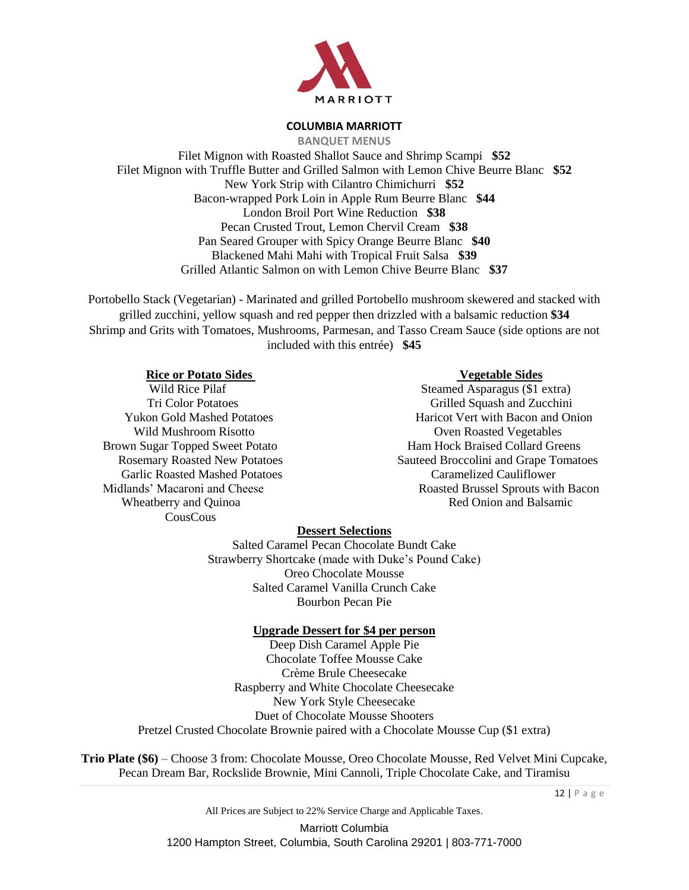

**BANQUET MENUS** Filet Mignon with Roasted Shallot Sauce and Shrimp Scampi **\$52** Filet Mignon with Truffle Butter and Grilled Salmon with Lemon Chive Beurre Blanc **\$52** New York Strip with Cilantro Chimichurri **\$52** Bacon-wrapped Pork Loin in Apple Rum Beurre Blanc **\$44** London Broil Port Wine Reduction **\$38** Pecan Crusted Trout, Lemon Chervil Cream **\$38** Pan Seared Grouper with Spicy Orange Beurre Blanc **\$40** Blackened Mahi Mahi with Tropical Fruit Salsa **\$39** Grilled Atlantic Salmon on with Lemon Chive Beurre Blanc **\$37**

Portobello Stack (Vegetarian) - Marinated and grilled Portobello mushroom skewered and stacked with grilled zucchini, yellow squash and red pepper then drizzled with a balsamic reduction **\$34** Shrimp and Grits with Tomatoes, Mushrooms, Parmesan, and Tasso Cream Sauce (side options are not included with this entrée) **\$45**

## **Rice or Potato Sides Vegetable Sides**

Brown Sugar Topped Sweet Potato Ham Hock Braised Collard Greens Garlic Roasted Mashed Potatoes Caramelized Cauliflower CousCous

Wild Rice Pilaf Steamed Asparagus (\$1 extra) Tri Color Potatoes Grilled Squash and Zucchini Yukon Gold Mashed Potatoes Haricot Vert with Bacon and Onion Wild Mushroom Risotto **Over Roasted Vegetables** Rosemary Roasted New Potatoes Sauteed Broccolini and Grape Tomatoes Midlands' Macaroni and Cheese **Roasted Brussel Sprouts with Bacon** Wheatberry and Quinoa **Red Onion and Balsamic** Red Onion and Balsamic

#### **Dessert Selections**

Salted Caramel Pecan Chocolate Bundt Cake Strawberry Shortcake (made with Duke's Pound Cake) Oreo Chocolate Mousse Salted Caramel Vanilla Crunch Cake Bourbon Pecan Pie

#### **Upgrade Dessert for \$4 per person**

Deep Dish Caramel Apple Pie Chocolate Toffee Mousse Cake Crème Brule Cheesecake Raspberry and White Chocolate Cheesecake New York Style Cheesecake Duet of Chocolate Mousse Shooters Pretzel Crusted Chocolate Brownie paired with a Chocolate Mousse Cup (\$1 extra)

**Trio Plate (\$6)** – Choose 3 from: Chocolate Mousse, Oreo Chocolate Mousse, Red Velvet Mini Cupcake, Pecan Dream Bar, Rockslide Brownie, Mini Cannoli, Triple Chocolate Cake, and Tiramisu

12 | P a g e

All Prices are Subject to 22% Service Charge and Applicable Taxes.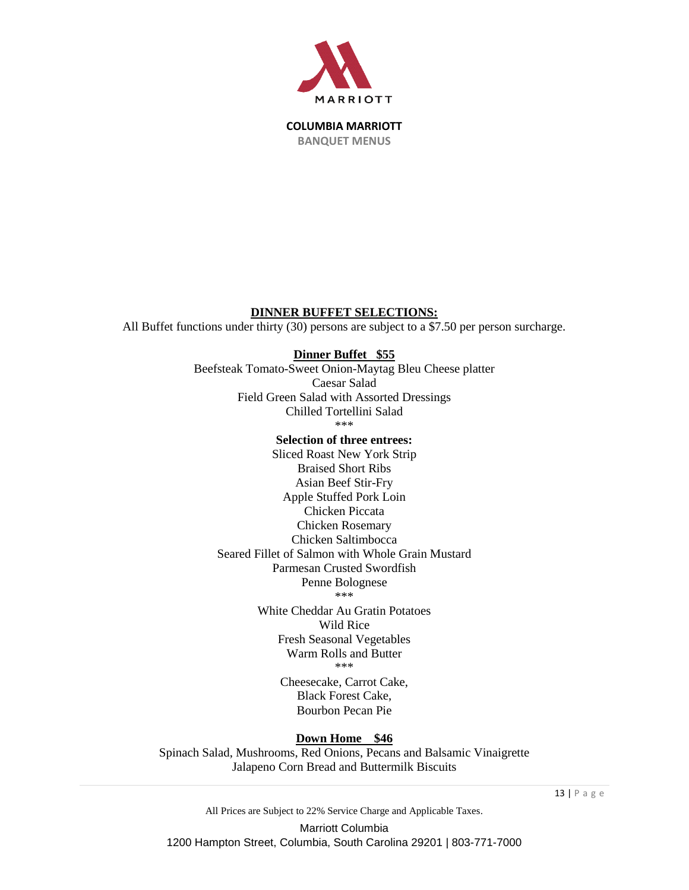

## **DINNER BUFFET SELECTIONS:**

All Buffet functions under thirty (30) persons are subject to a \$7.50 per person surcharge.

# **Dinner Buffet \$55**

Beefsteak Tomato-Sweet Onion-Maytag Bleu Cheese platter Caesar Salad Field Green Salad with Assorted Dressings Chilled Tortellini Salad

\*\*\*

# **Selection of three entrees:**

Sliced Roast New York Strip Braised Short Ribs Asian Beef Stir-Fry Apple Stuffed Pork Loin Chicken Piccata Chicken Rosemary Chicken Saltimbocca Seared Fillet of Salmon with Whole Grain Mustard Parmesan Crusted Swordfish Penne Bolognese \*\*\*

> White Cheddar Au Gratin Potatoes Wild Rice Fresh Seasonal Vegetables Warm Rolls and Butter \*\*\*

> > Cheesecake, Carrot Cake, Black Forest Cake, Bourbon Pecan Pie

## **Down Home \$46**

Spinach Salad, Mushrooms, Red Onions, Pecans and Balsamic Vinaigrette Jalapeno Corn Bread and Buttermilk Biscuits

All Prices are Subject to 22% Service Charge and Applicable Taxes.

Marriott Columbia 1200 Hampton Street, Columbia, South Carolina 29201 | 803-771-7000 13 | P a g e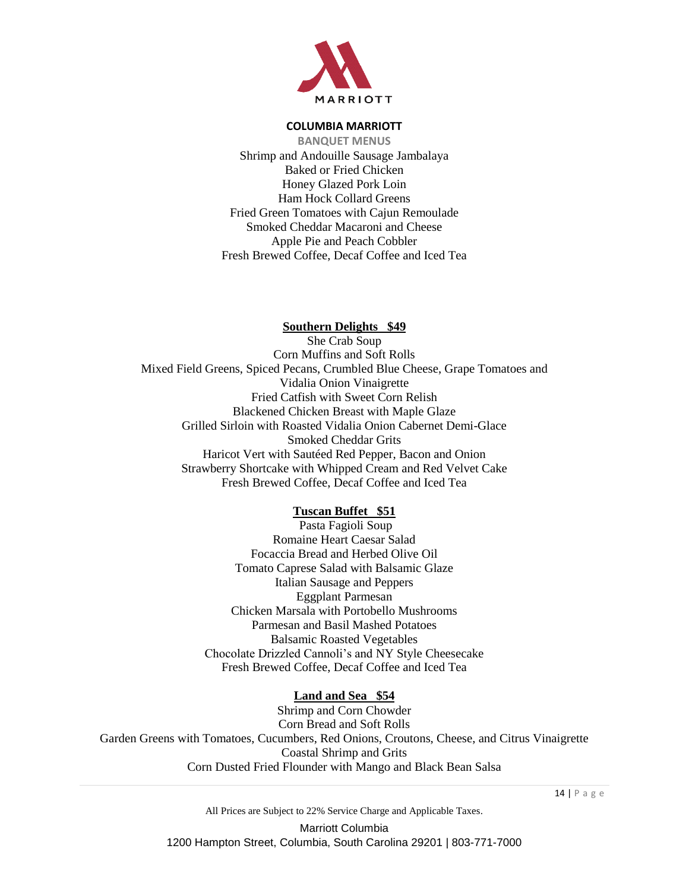

**BANQUET MENUS** Shrimp and Andouille Sausage Jambalaya Baked or Fried Chicken Honey Glazed Pork Loin Ham Hock Collard Greens Fried Green Tomatoes with Cajun Remoulade Smoked Cheddar Macaroni and Cheese Apple Pie and Peach Cobbler Fresh Brewed Coffee, Decaf Coffee and Iced Tea

#### **Southern Delights \$49**

She Crab Soup Corn Muffins and Soft Rolls Mixed Field Greens, Spiced Pecans, Crumbled Blue Cheese, Grape Tomatoes and Vidalia Onion Vinaigrette Fried Catfish with Sweet Corn Relish Blackened Chicken Breast with Maple Glaze Grilled Sirloin with Roasted Vidalia Onion Cabernet Demi-Glace Smoked Cheddar Grits Haricot Vert with Sautéed Red Pepper, Bacon and Onion Strawberry Shortcake with Whipped Cream and Red Velvet Cake Fresh Brewed Coffee, Decaf Coffee and Iced Tea

#### **Tuscan Buffet \$51**

Pasta Fagioli Soup Romaine Heart Caesar Salad Focaccia Bread and Herbed Olive Oil Tomato Caprese Salad with Balsamic Glaze Italian Sausage and Peppers Eggplant Parmesan Chicken Marsala with Portobello Mushrooms Parmesan and Basil Mashed Potatoes Balsamic Roasted Vegetables Chocolate Drizzled Cannoli's and NY Style Cheesecake Fresh Brewed Coffee, Decaf Coffee and Iced Tea

#### **Land and Sea \$54**

Shrimp and Corn Chowder Corn Bread and Soft Rolls Garden Greens with Tomatoes, Cucumbers, Red Onions, Croutons, Cheese, and Citrus Vinaigrette Coastal Shrimp and Grits Corn Dusted Fried Flounder with Mango and Black Bean Salsa

All Prices are Subject to 22% Service Charge and Applicable Taxes.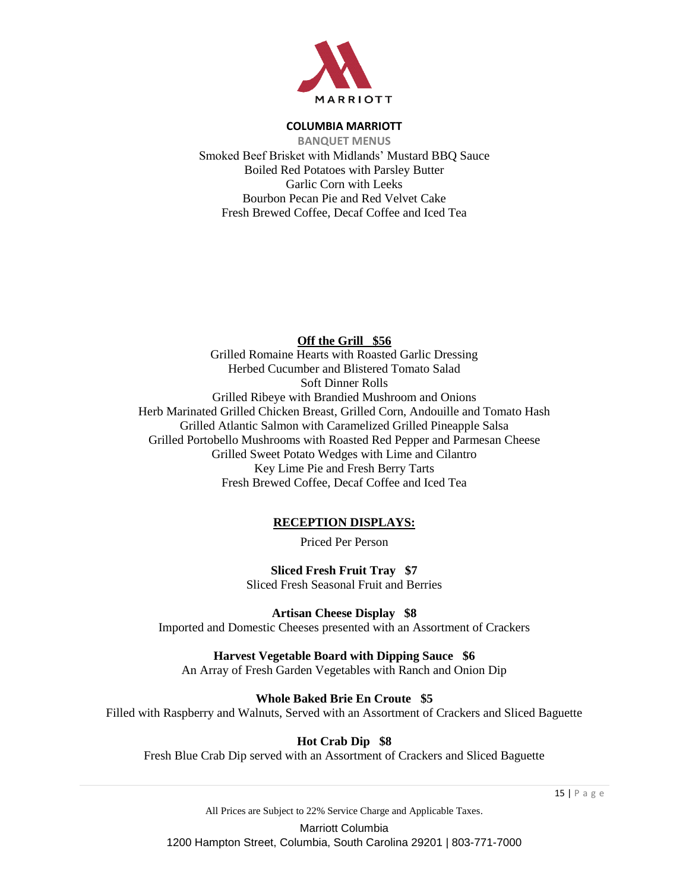

**BANQUET MENUS** Smoked Beef Brisket with Midlands' Mustard BBQ Sauce Boiled Red Potatoes with Parsley Butter Garlic Corn with Leeks Bourbon Pecan Pie and Red Velvet Cake Fresh Brewed Coffee, Decaf Coffee and Iced Tea

# **Off the Grill \$56**

Grilled Romaine Hearts with Roasted Garlic Dressing Herbed Cucumber and Blistered Tomato Salad Soft Dinner Rolls Grilled Ribeye with Brandied Mushroom and Onions Herb Marinated Grilled Chicken Breast, Grilled Corn, Andouille and Tomato Hash Grilled Atlantic Salmon with Caramelized Grilled Pineapple Salsa Grilled Portobello Mushrooms with Roasted Red Pepper and Parmesan Cheese Grilled Sweet Potato Wedges with Lime and Cilantro Key Lime Pie and Fresh Berry Tarts Fresh Brewed Coffee, Decaf Coffee and Iced Tea

# **RECEPTION DISPLAYS:**

Priced Per Person

**Sliced Fresh Fruit Tray \$7** Sliced Fresh Seasonal Fruit and Berries

**Artisan Cheese Display \$8** Imported and Domestic Cheeses presented with an Assortment of Crackers

**Harvest Vegetable Board with Dipping Sauce \$6** An Array of Fresh Garden Vegetables with Ranch and Onion Dip

**Whole Baked Brie En Croute \$5**

Filled with Raspberry and Walnuts, Served with an Assortment of Crackers and Sliced Baguette

**Hot Crab Dip \$8**

Fresh Blue Crab Dip served with an Assortment of Crackers and Sliced Baguette

15 | P a g e

All Prices are Subject to 22% Service Charge and Applicable Taxes.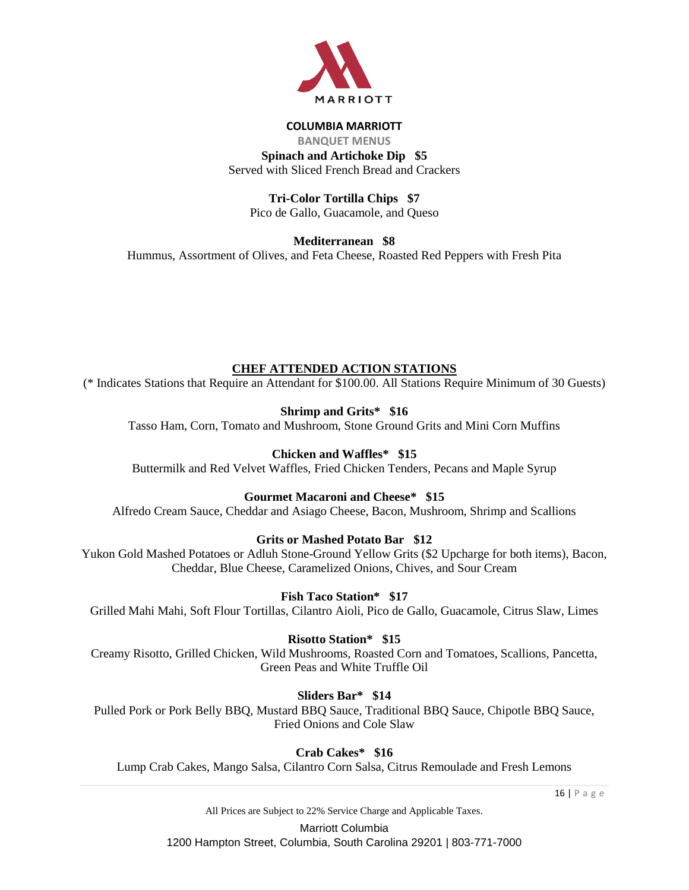

# **COLUMBIA MARRIOTT BANQUET MENUS Spinach and Artichoke Dip \$5**

Served with Sliced French Bread and Crackers

**Tri-Color Tortilla Chips \$7** Pico de Gallo, Guacamole, and Queso

**Mediterranean \$8** Hummus, Assortment of Olives, and Feta Cheese, Roasted Red Peppers with Fresh Pita

# **CHEF ATTENDED ACTION STATIONS**

(\* Indicates Stations that Require an Attendant for \$100.00. All Stations Require Minimum of 30 Guests)

**Shrimp and Grits\* \$16**

Tasso Ham, Corn, Tomato and Mushroom, Stone Ground Grits and Mini Corn Muffins

# **Chicken and Waffles\* \$15**

Buttermilk and Red Velvet Waffles, Fried Chicken Tenders, Pecans and Maple Syrup

# **Gourmet Macaroni and Cheese\* \$15**

Alfredo Cream Sauce, Cheddar and Asiago Cheese, Bacon, Mushroom, Shrimp and Scallions

# **Grits or Mashed Potato Bar \$12**

Yukon Gold Mashed Potatoes or Adluh Stone-Ground Yellow Grits (\$2 Upcharge for both items), Bacon, Cheddar, Blue Cheese, Caramelized Onions, Chives, and Sour Cream

# **Fish Taco Station\* \$17**

Grilled Mahi Mahi, Soft Flour Tortillas, Cilantro Aioli, Pico de Gallo, Guacamole, Citrus Slaw, Limes

# **Risotto Station\* \$15**

Creamy Risotto, Grilled Chicken, Wild Mushrooms, Roasted Corn and Tomatoes, Scallions, Pancetta, Green Peas and White Truffle Oil

## **Sliders Bar\* \$14**

Pulled Pork or Pork Belly BBQ, Mustard BBQ Sauce, Traditional BBQ Sauce, Chipotle BBQ Sauce, Fried Onions and Cole Slaw

**Crab Cakes\* \$16**

Lump Crab Cakes, Mango Salsa, Cilantro Corn Salsa, Citrus Remoulade and Fresh Lemons

16 | P a g e

All Prices are Subject to 22% Service Charge and Applicable Taxes.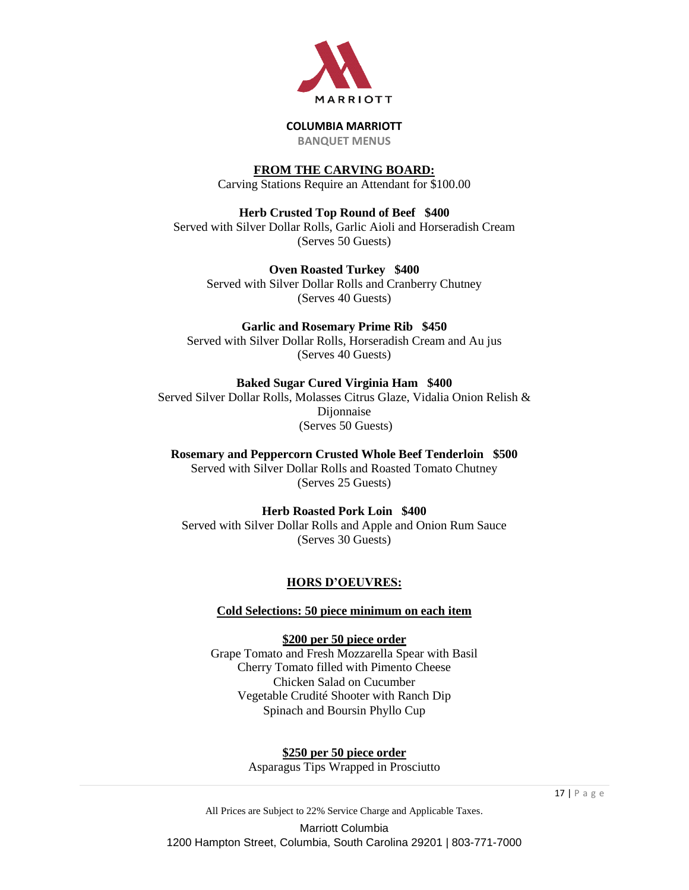

**BANQUET MENUS**

# **FROM THE CARVING BOARD:**

Carving Stations Require an Attendant for \$100.00

**Herb Crusted Top Round of Beef \$400** Served with Silver Dollar Rolls, Garlic Aioli and Horseradish Cream (Serves 50 Guests)

**Oven Roasted Turkey \$400** Served with Silver Dollar Rolls and Cranberry Chutney (Serves 40 Guests)

# **Garlic and Rosemary Prime Rib \$450**

Served with Silver Dollar Rolls, Horseradish Cream and Au jus (Serves 40 Guests)

**Baked Sugar Cured Virginia Ham \$400** Served Silver Dollar Rolls, Molasses Citrus Glaze, Vidalia Onion Relish & Dijonnaise (Serves 50 Guests)

**Rosemary and Peppercorn Crusted Whole Beef Tenderloin \$500** Served with Silver Dollar Rolls and Roasted Tomato Chutney (Serves 25 Guests)

**Herb Roasted Pork Loin \$400** Served with Silver Dollar Rolls and Apple and Onion Rum Sauce (Serves 30 Guests)

# **HORS D'OEUVRES:**

**Cold Selections: 50 piece minimum on each item**

**\$200 per 50 piece order** Grape Tomato and Fresh Mozzarella Spear with Basil Cherry Tomato filled with Pimento Cheese Chicken Salad on Cucumber Vegetable Crudité Shooter with Ranch Dip Spinach and Boursin Phyllo Cup

> **\$250 per 50 piece order** Asparagus Tips Wrapped in Prosciutto

All Prices are Subject to 22% Service Charge and Applicable Taxes. Marriott Columbia 1200 Hampton Street, Columbia, South Carolina 29201 | 803-771-7000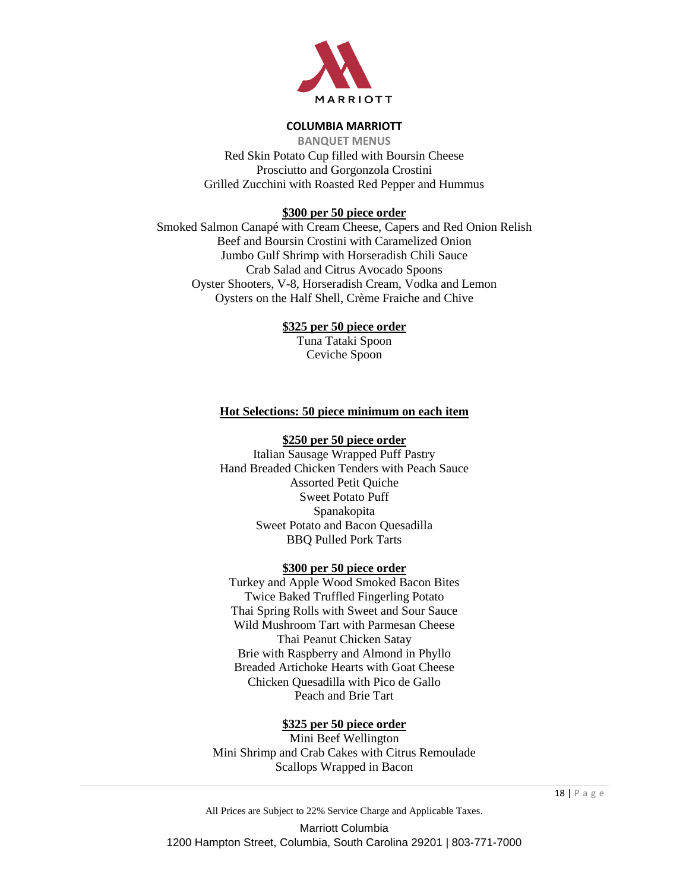

**BANQUET MENUS** Red Skin Potato Cup filled with Boursin Cheese Prosciutto and Gorgonzola Crostini Grilled Zucchini with Roasted Red Pepper and Hummus

## **\$300 per 50 piece order**

Smoked Salmon Canapé with Cream Cheese, Capers and Red Onion Relish Beef and Boursin Crostini with Caramelized Onion Jumbo Gulf Shrimp with Horseradish Chili Sauce Crab Salad and Citrus Avocado Spoons Oyster Shooters, V-8, Horseradish Cream, Vodka and Lemon Oysters on the Half Shell, Crème Fraiche and Chive

## **\$325 per 50 piece order**

Tuna Tataki Spoon Ceviche Spoon

## **Hot Selections: 50 piece minimum on each item**

#### **\$250 per 50 piece order**

Italian Sausage Wrapped Puff Pastry Hand Breaded Chicken Tenders with Peach Sauce Assorted Petit Quiche Sweet Potato Puff Spanakopita Sweet Potato and Bacon Quesadilla BBQ Pulled Pork Tarts

## **\$300 per 50 piece order**

Turkey and Apple Wood Smoked Bacon Bites Twice Baked Truffled Fingerling Potato Thai Spring Rolls with Sweet and Sour Sauce Wild Mushroom Tart with Parmesan Cheese Thai Peanut Chicken Satay Brie with Raspberry and Almond in Phyllo Breaded Artichoke Hearts with Goat Cheese Chicken Quesadilla with Pico de Gallo Peach and Brie Tart

## **\$325 per 50 piece order**

Mini Beef Wellington Mini Shrimp and Crab Cakes with Citrus Remoulade Scallops Wrapped in Bacon

All Prices are Subject to 22% Service Charge and Applicable Taxes.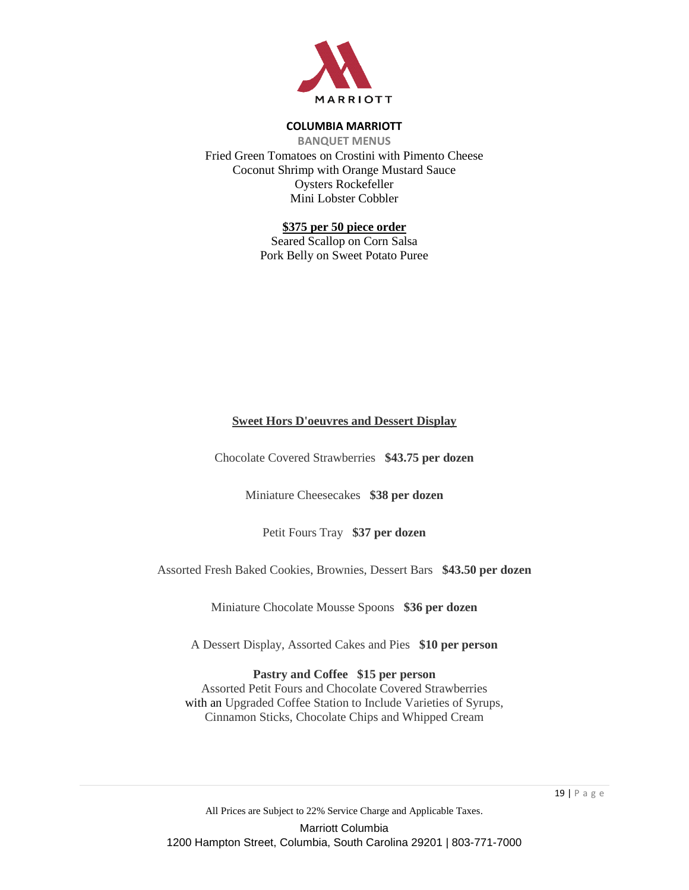

**BANQUET MENUS** Fried Green Tomatoes on Crostini with Pimento Cheese Coconut Shrimp with Orange Mustard Sauce Oysters Rockefeller Mini Lobster Cobbler

## **\$375 per 50 piece order**

Seared Scallop on Corn Salsa Pork Belly on Sweet Potato Puree

## **Sweet Hors D'oeuvres and Dessert Display**

Chocolate Covered Strawberries **\$43.75 per dozen**

Miniature Cheesecakes **\$38 per dozen**

Petit Fours Tray **\$37 per dozen**

Assorted Fresh Baked Cookies, Brownies, Dessert Bars **\$43.50 per dozen**

Miniature Chocolate Mousse Spoons **\$36 per dozen**

A Dessert Display, Assorted Cakes and Pies **\$10 per person**

#### **Pastry and Coffee \$15 per person**

Assorted Petit Fours and Chocolate Covered Strawberries with an Upgraded Coffee Station to Include Varieties of Syrups, Cinnamon Sticks, Chocolate Chips and Whipped Cream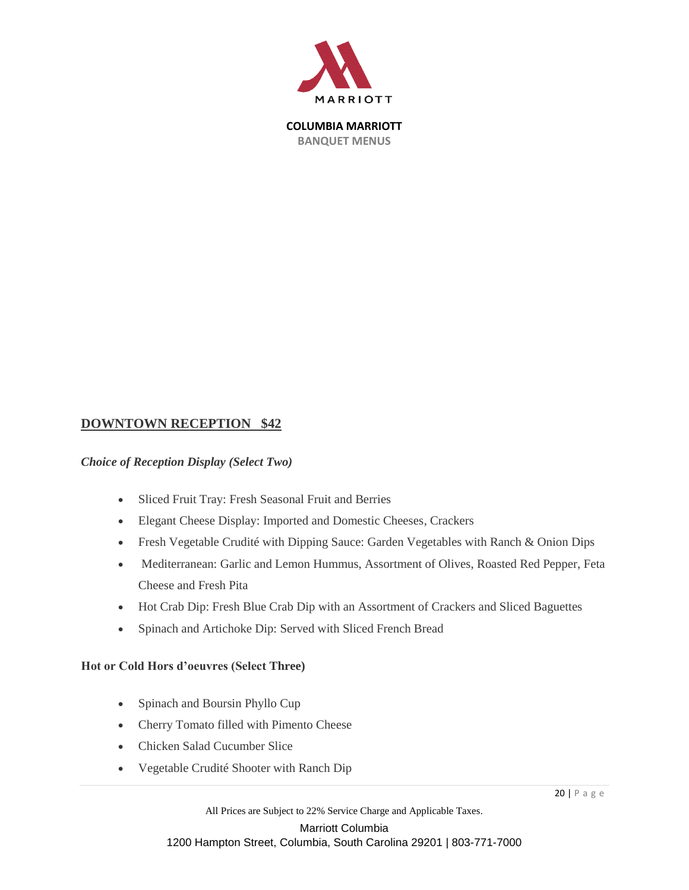

# **DOWNTOWN RECEPTION \$42**

## *Choice of Reception Display (Select Two)*

- Sliced Fruit Tray: Fresh Seasonal Fruit and Berries
- Elegant Cheese Display: Imported and Domestic Cheeses, Crackers
- Fresh Vegetable Crudité with Dipping Sauce: Garden Vegetables with Ranch & Onion Dips
- Mediterranean: Garlic and Lemon Hummus, Assortment of Olives, Roasted Red Pepper, Feta Cheese and Fresh Pita
- Hot Crab Dip: Fresh Blue Crab Dip with an Assortment of Crackers and Sliced Baguettes
- Spinach and Artichoke Dip: Served with Sliced French Bread

## **Hot or Cold Hors d'oeuvres (Select Three)**

- Spinach and Boursin Phyllo Cup
- Cherry Tomato filled with Pimento Cheese
- Chicken Salad Cucumber Slice
- Vegetable Crudité Shooter with Ranch Dip

All Prices are Subject to 22% Service Charge and Applicable Taxes.

Marriott Columbia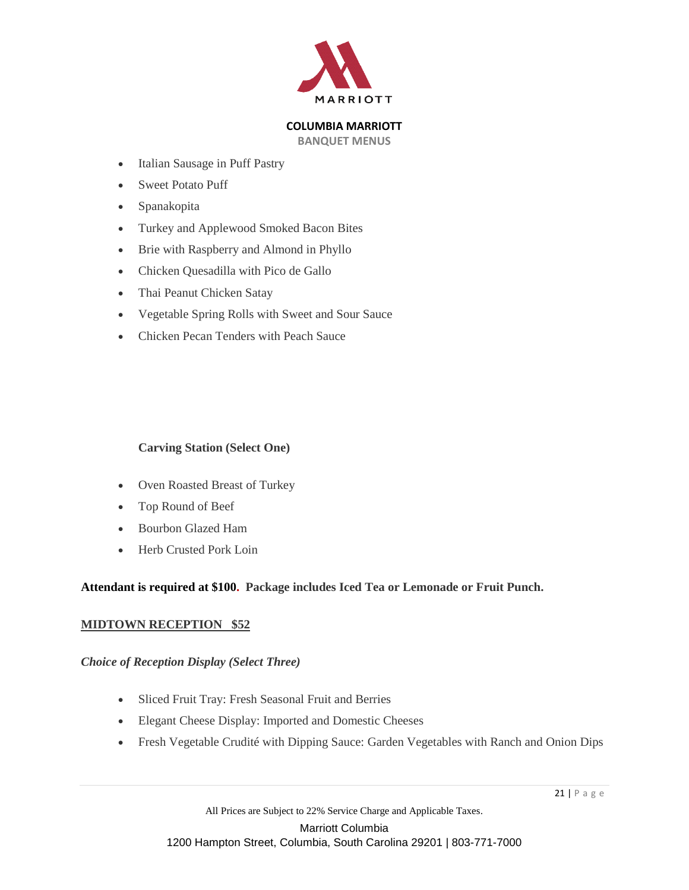

**BANQUET MENUS**

- Italian Sausage in Puff Pastry
- Sweet Potato Puff
- Spanakopita
- Turkey and Applewood Smoked Bacon Bites
- Brie with Raspberry and Almond in Phyllo
- Chicken Quesadilla with Pico de Gallo
- Thai Peanut Chicken Satay
- Vegetable Spring Rolls with Sweet and Sour Sauce
- Chicken Pecan Tenders with Peach Sauce

## **Carving Station (Select One)**

- Oven Roasted Breast of Turkey
- Top Round of Beef
- Bourbon Glazed Ham
- Herb Crusted Pork Loin

# **Attendant is required at \$100. Package includes Iced Tea or Lemonade or Fruit Punch.**

## **MIDTOWN RECEPTION \$52**

## *Choice of Reception Display (Select Three)*

- Sliced Fruit Tray: Fresh Seasonal Fruit and Berries
- Elegant Cheese Display: Imported and Domestic Cheeses
- Fresh Vegetable Crudité with Dipping Sauce: Garden Vegetables with Ranch and Onion Dips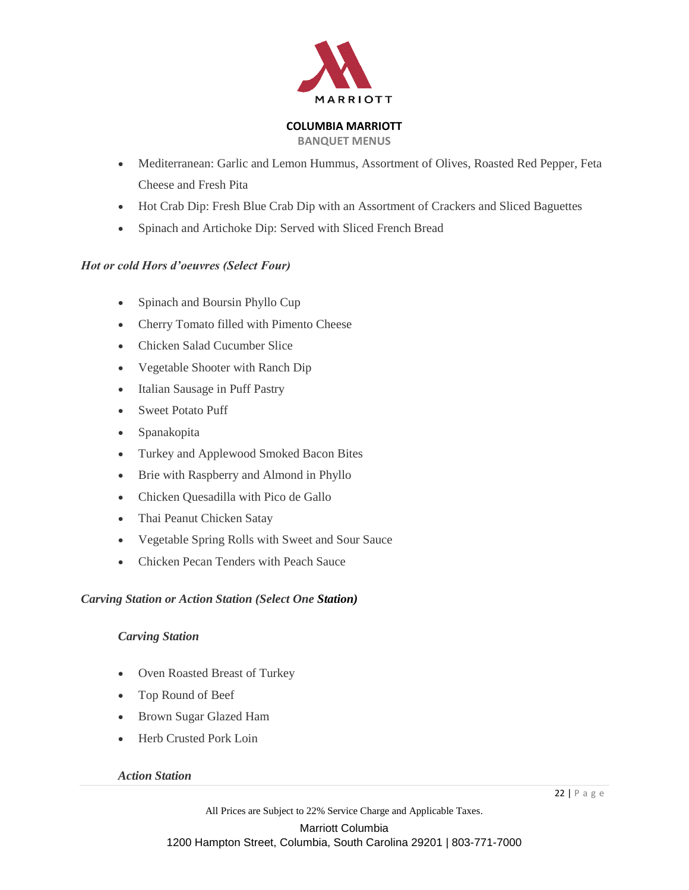

**BANQUET MENUS**

- Mediterranean: Garlic and Lemon Hummus, Assortment of Olives, Roasted Red Pepper, Feta Cheese and Fresh Pita
- Hot Crab Dip: Fresh Blue Crab Dip with an Assortment of Crackers and Sliced Baguettes
- Spinach and Artichoke Dip: Served with Sliced French Bread

# *Hot or cold Hors d'oeuvres (Select Four)*

- Spinach and Boursin Phyllo Cup
- Cherry Tomato filled with Pimento Cheese
- Chicken Salad Cucumber Slice
- Vegetable Shooter with Ranch Dip
- Italian Sausage in Puff Pastry
- Sweet Potato Puff
- Spanakopita
- Turkey and Applewood Smoked Bacon Bites
- Brie with Raspberry and Almond in Phyllo
- Chicken Quesadilla with Pico de Gallo
- Thai Peanut Chicken Satay
- Vegetable Spring Rolls with Sweet and Sour Sauce
- Chicken Pecan Tenders with Peach Sauce

# *Carving Station or Action Station (Select One Station)*

# *Carving Station*

- Oven Roasted Breast of Turkey
- Top Round of Beef
- Brown Sugar Glazed Ham
- Herb Crusted Pork Loin

## *Action Station*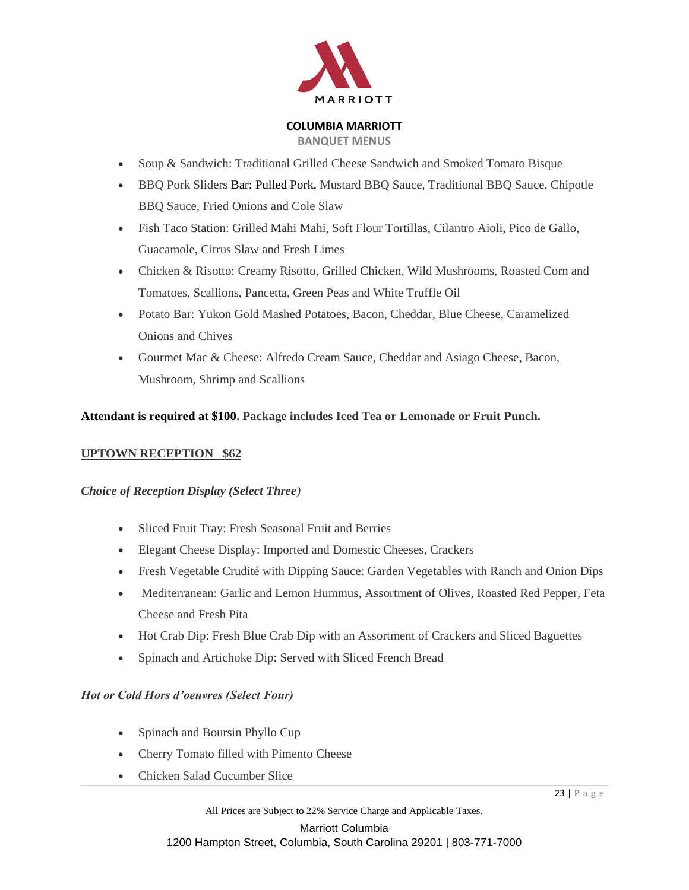

**BANQUET MENUS**

- Soup & Sandwich: Traditional Grilled Cheese Sandwich and Smoked Tomato Bisque
- BBQ Pork Sliders Bar: Pulled Pork, Mustard BBQ Sauce, Traditional BBQ Sauce, Chipotle BBQ Sauce, Fried Onions and Cole Slaw
- Fish Taco Station: Grilled Mahi Mahi, Soft Flour Tortillas, Cilantro Aioli, Pico de Gallo, Guacamole, Citrus Slaw and Fresh Limes
- Chicken & Risotto: Creamy Risotto, Grilled Chicken, Wild Mushrooms, Roasted Corn and Tomatoes, Scallions, Pancetta, Green Peas and White Truffle Oil
- Potato Bar: Yukon Gold Mashed Potatoes, Bacon, Cheddar, Blue Cheese, Caramelized Onions and Chives
- Gourmet Mac & Cheese: Alfredo Cream Sauce, Cheddar and Asiago Cheese, Bacon, Mushroom, Shrimp and Scallions

# **Attendant is required at \$100. Package includes Iced Tea or Lemonade or Fruit Punch.**

# **UPTOWN RECEPTION \$62**

## *Choice of Reception Display (Select Three)*

- Sliced Fruit Tray: Fresh Seasonal Fruit and Berries
- Elegant Cheese Display: Imported and Domestic Cheeses, Crackers
- Fresh Vegetable Crudité with Dipping Sauce: Garden Vegetables with Ranch and Onion Dips
- Mediterranean: Garlic and Lemon Hummus, Assortment of Olives, Roasted Red Pepper, Feta Cheese and Fresh Pita
- Hot Crab Dip: Fresh Blue Crab Dip with an Assortment of Crackers and Sliced Baguettes
- Spinach and Artichoke Dip: Served with Sliced French Bread

## *Hot or Cold Hors d'oeuvres (Select Four)*

- Spinach and Boursin Phyllo Cup
- Cherry Tomato filled with Pimento Cheese
- Chicken Salad Cucumber Slice

All Prices are Subject to 22% Service Charge and Applicable Taxes.

Marriott Columbia

1200 Hampton Street, Columbia, South Carolina 29201 | 803-771-7000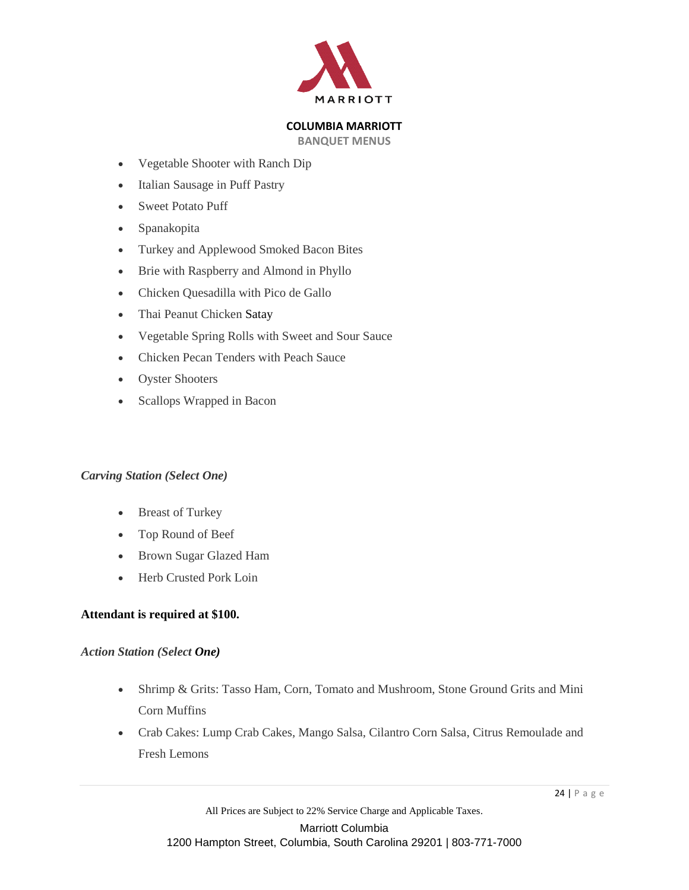

**BANQUET MENUS**

- Vegetable Shooter with Ranch Dip
- Italian Sausage in Puff Pastry
- Sweet Potato Puff
- Spanakopita
- Turkey and Applewood Smoked Bacon Bites
- Brie with Raspberry and Almond in Phyllo
- Chicken Quesadilla with Pico de Gallo
- Thai Peanut Chicken Satay
- Vegetable Spring Rolls with Sweet and Sour Sauce
- Chicken Pecan Tenders with Peach Sauce
- Oyster Shooters
- Scallops Wrapped in Bacon

# *Carving Station (Select One)*

- Breast of Turkey
- Top Round of Beef
- Brown Sugar Glazed Ham
- Herb Crusted Pork Loin

## **Attendant is required at \$100.**

## *Action Station (Select One)*

- Shrimp & Grits: Tasso Ham, Corn, Tomato and Mushroom, Stone Ground Grits and Mini Corn Muffins
- Crab Cakes: Lump Crab Cakes, Mango Salsa, Cilantro Corn Salsa, Citrus Remoulade and Fresh Lemons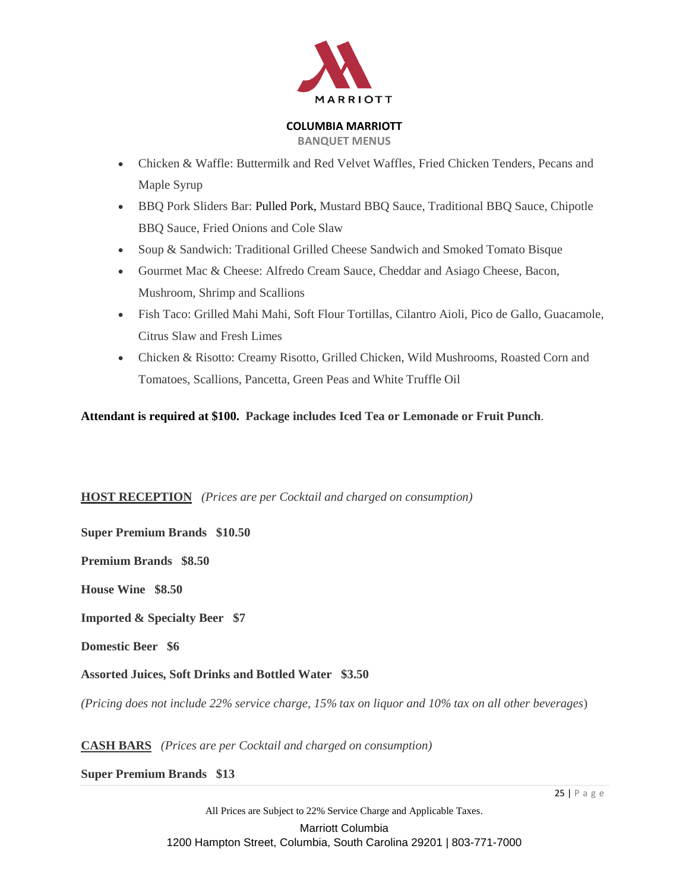

**BANQUET MENUS**

- Chicken & Waffle: Buttermilk and Red Velvet Waffles, Fried Chicken Tenders, Pecans and Maple Syrup
- BBQ Pork Sliders Bar: Pulled Pork, Mustard BBQ Sauce, Traditional BBQ Sauce, Chipotle BBQ Sauce, Fried Onions and Cole Slaw
- Soup & Sandwich: Traditional Grilled Cheese Sandwich and Smoked Tomato Bisque
- Gourmet Mac & Cheese: Alfredo Cream Sauce, Cheddar and Asiago Cheese, Bacon, Mushroom, Shrimp and Scallions
- Fish Taco: Grilled Mahi Mahi, Soft Flour Tortillas, Cilantro Aioli, Pico de Gallo, Guacamole, Citrus Slaw and Fresh Limes
- Chicken & Risotto: Creamy Risotto, Grilled Chicken, Wild Mushrooms, Roasted Corn and Tomatoes, Scallions, Pancetta, Green Peas and White Truffle Oil

# **Attendant is required at \$100. Package includes Iced Tea or Lemonade or Fruit Punch**.

# **HOST RECEPTION** *(Prices are per Cocktail and charged on consumption)*

**Super Premium Brands \$10.50**

**Premium Brands \$8.50**

**House Wine \$8.50**

**Imported & Specialty Beer \$7**

**Domestic Beer \$6**

**Assorted Juices, Soft Drinks and Bottled Water \$3.50**

*(Pricing does not include 22% service charge, 15% tax on liquor and 10% tax on all other beverages*)

**CASH BARS** *(Prices are per Cocktail and charged on consumption)*

**Super Premium Brands \$13**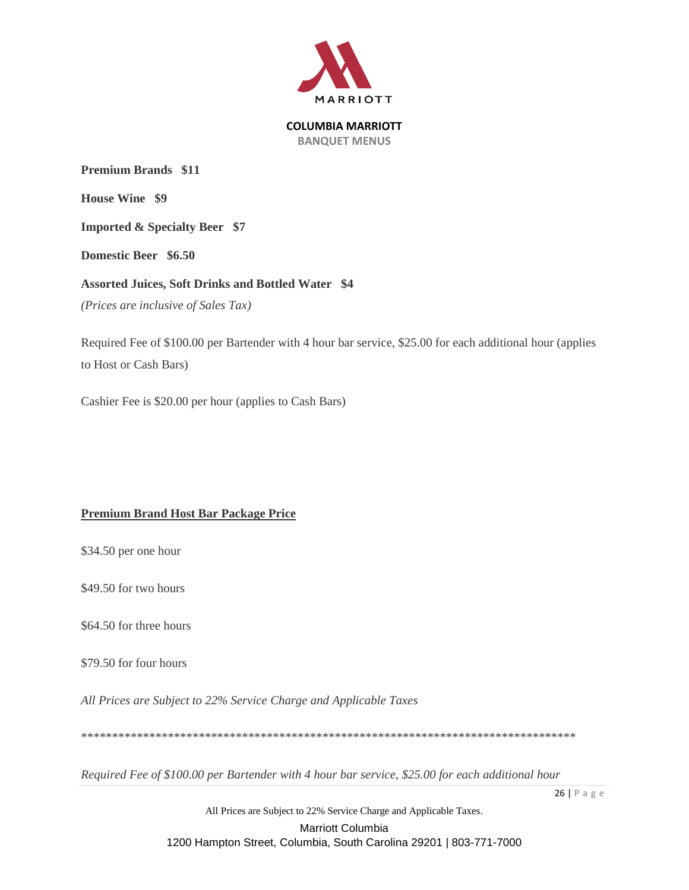

**Premium Brands \$11 House Wine \$9 Imported & Specialty Beer \$7 Domestic Beer \$6.50 Assorted Juices, Soft Drinks and Bottled Water \$4** *(Prices are inclusive of Sales Tax)*

Required Fee of \$100.00 per Bartender with 4 hour bar service, \$25.00 for each additional hour (applies to Host or Cash Bars)

Cashier Fee is \$20.00 per hour (applies to Cash Bars)

# **Premium Brand Host Bar Package Price**

\$34.50 per one hour

\$49.50 for two hours

\$64.50 for three hours

\$79.50 for four hours

*All Prices are Subject to 22% Service Charge and Applicable Taxes*

\*\*\*\*\*\*\*\*\*\*\*\*\*\*\*\*\*\*\*\*\*\*\*\*\*\*\*\*\*\*\*\*\*\*\*\*\*\*\*\*\*\*\*\*\*\*\*\*\*\*\*\*\*\*\*\*\*\*\*\*\*\*\*\*\*\*\*\*\*\*\*\*\*\*\*\*\*\*\*\*

*Required Fee of \$100.00 per Bartender with 4 hour bar service, \$25.00 for each additional hour*

All Prices are Subject to 22% Service Charge and Applicable Taxes. Marriott Columbia 1200 Hampton Street, Columbia, South Carolina 29201 | 803-771-7000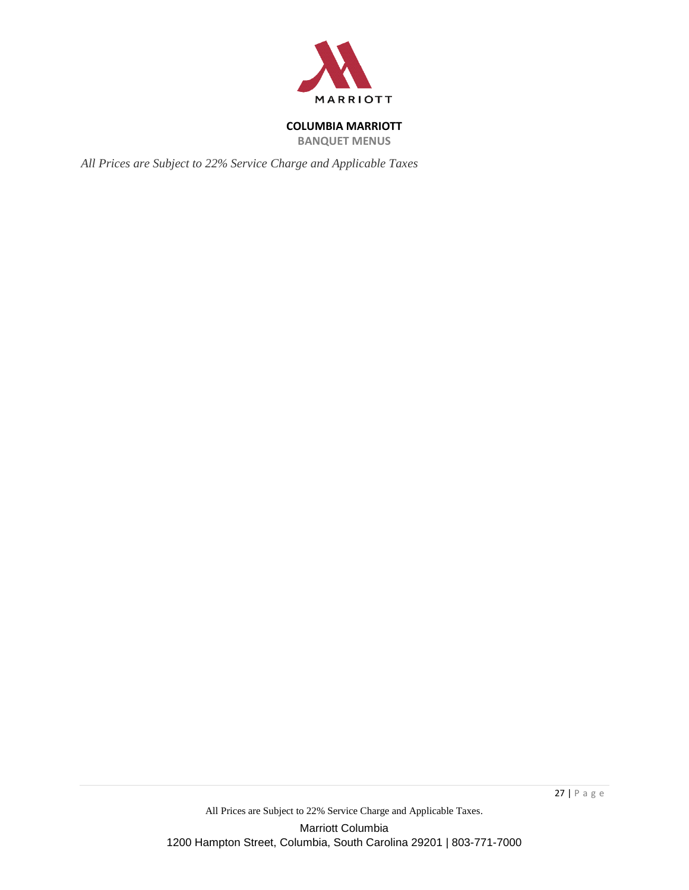

**BANQUET MENUS**

*All Prices are Subject to 22% Service Charge and Applicable Taxes*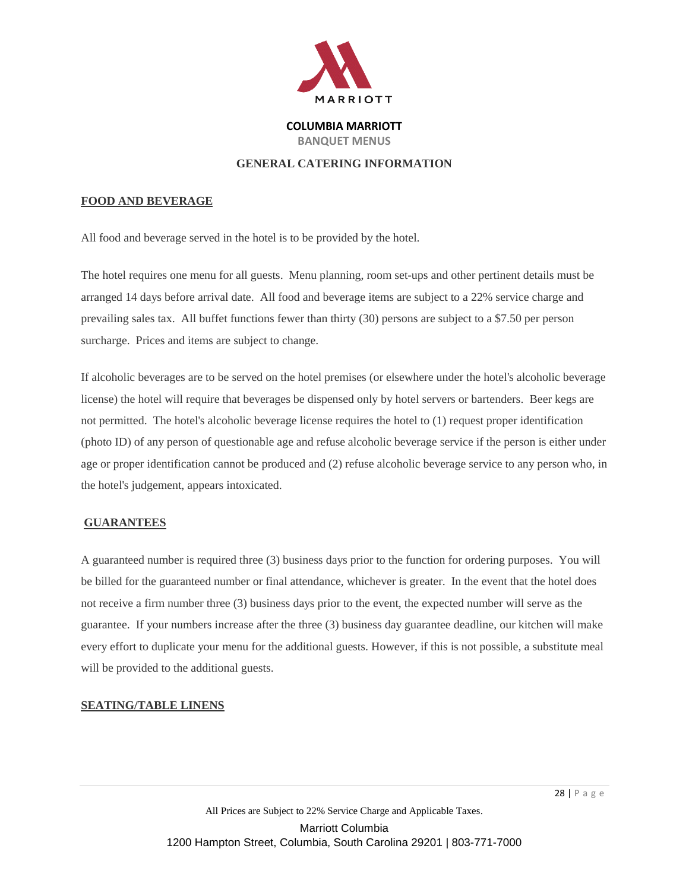

## **GENERAL CATERING INFORMATION**

## **FOOD AND BEVERAGE**

All food and beverage served in the hotel is to be provided by the hotel.

The hotel requires one menu for all guests. Menu planning, room set-ups and other pertinent details must be arranged 14 days before arrival date. All food and beverage items are subject to a 22% service charge and prevailing sales tax. All buffet functions fewer than thirty (30) persons are subject to a \$7.50 per person surcharge. Prices and items are subject to change.

If alcoholic beverages are to be served on the hotel premises (or elsewhere under the hotel's alcoholic beverage license) the hotel will require that beverages be dispensed only by hotel servers or bartenders. Beer kegs are not permitted. The hotel's alcoholic beverage license requires the hotel to (1) request proper identification (photo ID) of any person of questionable age and refuse alcoholic beverage service if the person is either under age or proper identification cannot be produced and (2) refuse alcoholic beverage service to any person who, in the hotel's judgement, appears intoxicated.

## **GUARANTEES**

A guaranteed number is required three (3) business days prior to the function for ordering purposes. You will be billed for the guaranteed number or final attendance, whichever is greater. In the event that the hotel does not receive a firm number three (3) business days prior to the event, the expected number will serve as the guarantee. If your numbers increase after the three (3) business day guarantee deadline, our kitchen will make every effort to duplicate your menu for the additional guests. However, if this is not possible, a substitute meal will be provided to the additional guests.

#### **SEATING/TABLE LINENS**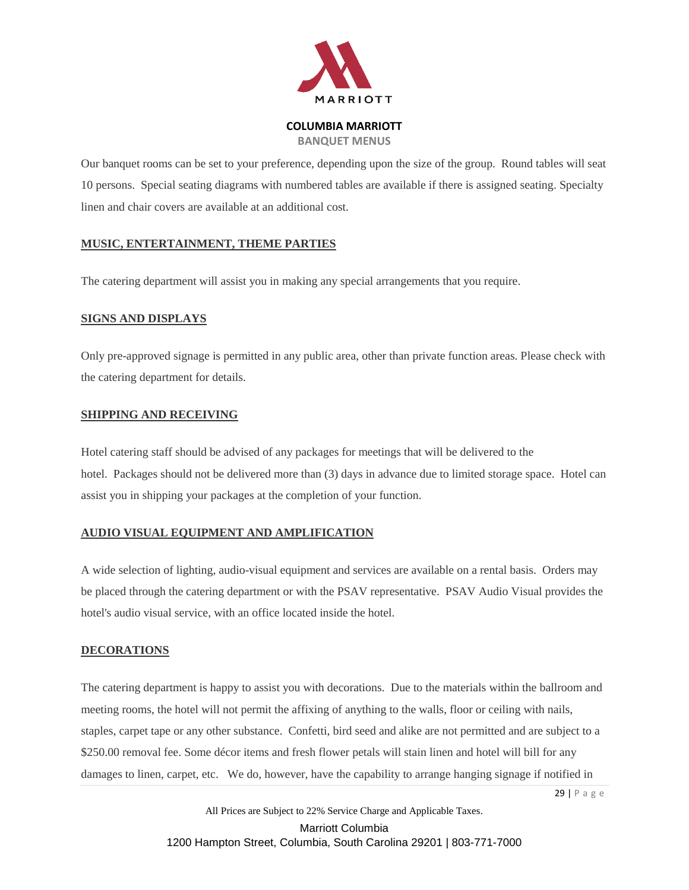

**BANQUET MENUS**

Our banquet rooms can be set to your preference, depending upon the size of the group. Round tables will seat 10 persons. Special seating diagrams with numbered tables are available if there is assigned seating. Specialty linen and chair covers are available at an additional cost.

# **MUSIC, ENTERTAINMENT, THEME PARTIES**

The catering department will assist you in making any special arrangements that you require.

# **SIGNS AND DISPLAYS**

Only pre-approved signage is permitted in any public area, other than private function areas. Please check with the catering department for details.

## **SHIPPING AND RECEIVING**

Hotel catering staff should be advised of any packages for meetings that will be delivered to the hotel. Packages should not be delivered more than (3) days in advance due to limited storage space. Hotel can assist you in shipping your packages at the completion of your function.

# **AUDIO VISUAL EQUIPMENT AND AMPLIFICATION**

A wide selection of lighting, audio-visual equipment and services are available on a rental basis. Orders may be placed through the catering department or with the PSAV representative. PSAV Audio Visual provides the hotel's audio visual service, with an office located inside the hotel.

## **DECORATIONS**

The catering department is happy to assist you with decorations. Due to the materials within the ballroom and meeting rooms, the hotel will not permit the affixing of anything to the walls, floor or ceiling with nails, staples, carpet tape or any other substance. Confetti, bird seed and alike are not permitted and are subject to a \$250.00 removal fee. Some décor items and fresh flower petals will stain linen and hotel will bill for any damages to linen, carpet, etc. We do, however, have the capability to arrange hanging signage if notified in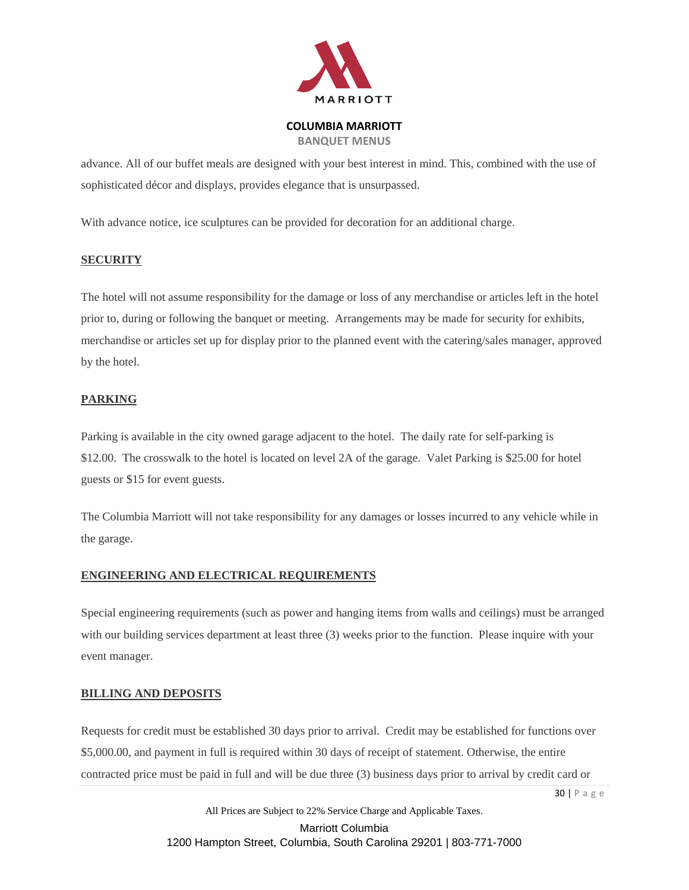

**BANQUET MENUS**

advance. All of our buffet meals are designed with your best interest in mind. This, combined with the use of sophisticated décor and displays, provides elegance that is unsurpassed.

With advance notice, ice sculptures can be provided for decoration for an additional charge.

# **SECURITY**

The hotel will not assume responsibility for the damage or loss of any merchandise or articles left in the hotel prior to, during or following the banquet or meeting. Arrangements may be made for security for exhibits, merchandise or articles set up for display prior to the planned event with the catering/sales manager, approved by the hotel.

# **PARKING**

Parking is available in the city owned garage adjacent to the hotel. The daily rate for self-parking is \$12.00. The crosswalk to the hotel is located on level 2A of the garage. Valet Parking is \$25.00 for hotel guests or \$15 for event guests.

The Columbia Marriott will not take responsibility for any damages or losses incurred to any vehicle while in the garage.

## **ENGINEERING AND ELECTRICAL REQUIREMENTS**

Special engineering requirements (such as power and hanging items from walls and ceilings) must be arranged with our building services department at least three (3) weeks prior to the function. Please inquire with your event manager.

## **BILLING AND DEPOSITS**

Requests for credit must be established 30 days prior to arrival. Credit may be established for functions over \$5,000.00, and payment in full is required within 30 days of receipt of statement. Otherwise, the entire contracted price must be paid in full and will be due three (3) business days prior to arrival by credit card or

30 | P a g e